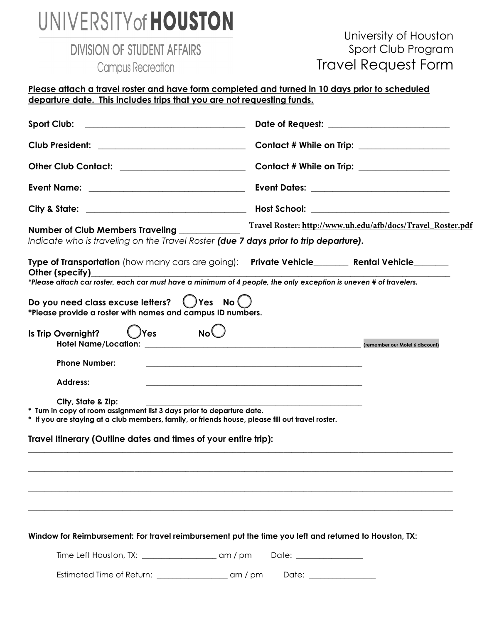## UNIVERSITY of HOUSTON

**DIVISION OF STUDENT AFFAIRS** 

**Campus Recreation** 

## University of Houston Sport Club Program Travel Request Form

| Club President: __________________________________                                                                                                                                                                 |                                                                                                                        | Contact # While on Trip: ___________________<br>Contact # While on Trip: __________________ |  |  |
|--------------------------------------------------------------------------------------------------------------------------------------------------------------------------------------------------------------------|------------------------------------------------------------------------------------------------------------------------|---------------------------------------------------------------------------------------------|--|--|
| Other Club Contact: _________________________                                                                                                                                                                      |                                                                                                                        |                                                                                             |  |  |
|                                                                                                                                                                                                                    |                                                                                                                        | Event Dates: __________________________________                                             |  |  |
|                                                                                                                                                                                                                    |                                                                                                                        |                                                                                             |  |  |
| Number of Club Members Traveling<br>Indicate who is traveling on the Travel Roster (due 7 days prior to trip departure).                                                                                           |                                                                                                                        | Travel Roster: http://www.uh.edu/afb/docs/Travel_Roster.pdf                                 |  |  |
| Type of Transportation (how many cars are going): Private Vehicle_______ Rental Vehicle______<br>*Please attach car roster, each car must have a minimum of 4 people, the only exception is uneven # of travelers. |                                                                                                                        |                                                                                             |  |  |
| Do you need class excuse letters? () Yes No ()<br>*Please provide a roster with names and campus ID numbers.<br>$O$ Yes No $O$<br>Is Trip Overnight?                                                               |                                                                                                                        |                                                                                             |  |  |
|                                                                                                                                                                                                                    |                                                                                                                        |                                                                                             |  |  |
| <b>Phone Number:</b>                                                                                                                                                                                               | <u> 1989 - Johann John Stone, Amerikaansk politiker (* 1989)</u>                                                       |                                                                                             |  |  |
| <b>Address:</b>                                                                                                                                                                                                    | <u> 1989 - Johann John Stoff, deutscher Stoffen und der Stoffen und der Stoffen und der Stoffen und der Stoffen un</u> |                                                                                             |  |  |
| City, State & Zip:<br>* Turn in copy of room assignment list 3 days prior to departure date.<br>* If you are staying at a club members, family, or friends house, please fill out travel roster.                   |                                                                                                                        |                                                                                             |  |  |
| Travel Itinerary (Outline dates and times of your entire trip):                                                                                                                                                    |                                                                                                                        |                                                                                             |  |  |
|                                                                                                                                                                                                                    |                                                                                                                        |                                                                                             |  |  |
|                                                                                                                                                                                                                    |                                                                                                                        |                                                                                             |  |  |
| Window for Reimbursement: For travel reimbursement put the time you left and returned to Houston, TX:                                                                                                              |                                                                                                                        |                                                                                             |  |  |